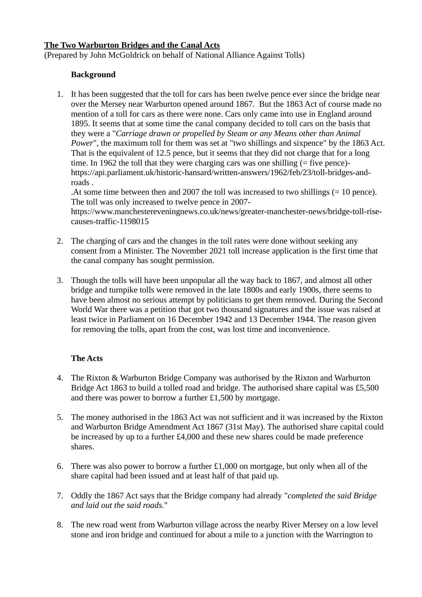# **The Two Warburton Bridges and the Canal Acts**

(Prepared by John McGoldrick on behalf of National Alliance Against Tolls)

## **Background**

1. It has been suggested that the toll for cars has been twelve pence ever since the bridge near over the Mersey near Warburton opened around 1867. But the 1863 Act of course made no mention of a toll for cars as there were none. Cars only came into use in England around 1895. It seems that at some time the canal company decided to toll cars on the basis that they were a "*Carriage drawn or propelled by Steam or any Means other than Animal Power*", the maximum toll for them was set at "two shillings and sixpence" by the 1863 Act. That is the equivalent of 12.5 pence, but it seems that they did not charge that for a long time. In 1962 the toll that they were charging cars was one shilling (= five pence)https://api.parliament.uk/historic-hansard/written-answers/1962/feb/23/toll-bridges-androads .

.At some time between then and 2007 the toll was increased to two shillings (= 10 pence). The toll was only increased to twelve pence in 2007-

https://www.manchestereveningnews.co.uk/news/greater-manchester-news/bridge-toll-risecauses-traffic-1198015

- 2. The charging of cars and the changes in the toll rates were done without seeking any consent from a Minister. The November 2021 toll increase application is the first time that the canal company has sought permission.
- 3. Though the tolls will have been unpopular all the way back to 1867, and almost all other bridge and turnpike tolls were removed in the late 1800s and early 1900s, there seems to have been almost no serious attempt by politicians to get them removed. During the Second World War there was a petition that got two thousand signatures and the issue was raised at least twice in Parliament on 16 December 1942 and 13 December 1944. The reason given for removing the tolls, apart from the cost, was lost time and inconvenience.

# **The Acts**

- 4. The Rixton & Warburton Bridge Company was authorised by the Rixton and Warburton Bridge Act 1863 to build a tolled road and bridge. The authorised share capital was £5,500 and there was power to borrow a further £1,500 by mortgage.
- 5. The money authorised in the 1863 Act was not sufficient and it was increased by the Rixton and Warburton Bridge Amendment Act 1867 (31st May). The authorised share capital could be increased by up to a further £4,000 and these new shares could be made preference shares.
- 6. There was also power to borrow a further £1,000 on mortgage, but only when all of the share capital had been issued and at least half of that paid up.
- 7. Oddly the 1867 Act says that the Bridge company had already "*completed the said Bridge and laid out the said roads.*"
- 8. The new road went from Warburton village across the nearby River Mersey on a low level stone and iron bridge and continued for about a mile to a junction with the Warrington to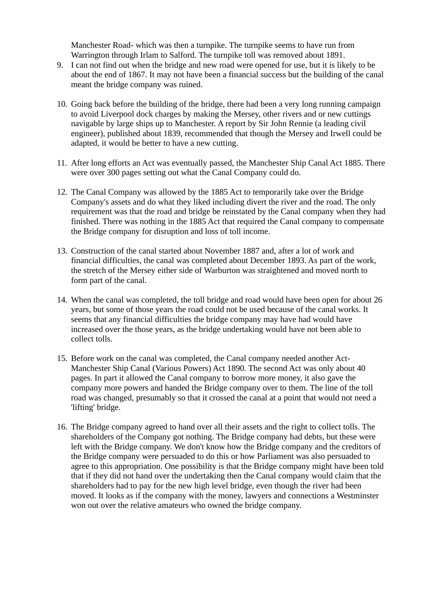Manchester Road- which was then a turnpike. The turnpike seems to have run from Warrington through Irlam to Salford. The turnpike toll was removed about 1891.

- 9. I can not find out when the bridge and new road were opened for use, but it is likely to be about the end of 1867. It may not have been a financial success but the building of the canal meant the bridge company was ruined.
- 10. Going back before the building of the bridge, there had been a very long running campaign to avoid Liverpool dock charges by making the Mersey, other rivers and or new cuttings navigable by large ships up to Manchester. A report by Sir John Rennie (a leading civil engineer), published about 1839, recommended that though the Mersey and Irwell could be adapted, it would be better to have a new cutting.
- 11. After long efforts an Act was eventually passed, the Manchester Ship Canal Act 1885. There were over 300 pages setting out what the Canal Company could do.
- 12. The Canal Company was allowed by the 1885 Act to temporarily take over the Bridge Company's assets and do what they liked including divert the river and the road. The only requirement was that the road and bridge be reinstated by the Canal company when they had finished. There was nothing in the 1885 Act that required the Canal company to compensate the Bridge company for disruption and loss of toll income.
- 13. Construction of the canal started about November 1887 and, after a lot of work and financial difficulties, the canal was completed about December 1893. As part of the work, the stretch of the Mersey either side of Warburton was straightened and moved north to form part of the canal.
- 14. When the canal was completed, the toll bridge and road would have been open for about 26 years, but some of those years the road could not be used because of the canal works. It seems that any financial difficulties the bridge company may have had would have increased over the those years, as the bridge undertaking would have not been able to collect tolls.
- 15. Before work on the canal was completed, the Canal company needed another Act-Manchester Ship Canal (Various Powers) Act 1890. The second Act was only about 40 pages. In part it allowed the Canal company to borrow more money, it also gave the company more powers and handed the Bridge company over to them. The line of the toll road was changed, presumably so that it crossed the canal at a point that would not need a 'lifting' bridge.
- 16. The Bridge company agreed to hand over all their assets and the right to collect tolls. The shareholders of the Company got nothing. The Bridge company had debts, but these were left with the Bridge company. We don't know how the Bridge company and the creditors of the Bridge company were persuaded to do this or how Parliament was also persuaded to agree to this appropriation. One possibility is that the Bridge company might have been told that if they did not hand over the undertaking then the Canal company would claim that the shareholders had to pay for the new high level bridge, even though the river had been moved. It looks as if the company with the money, lawyers and connections a Westminster won out over the relative amateurs who owned the bridge company.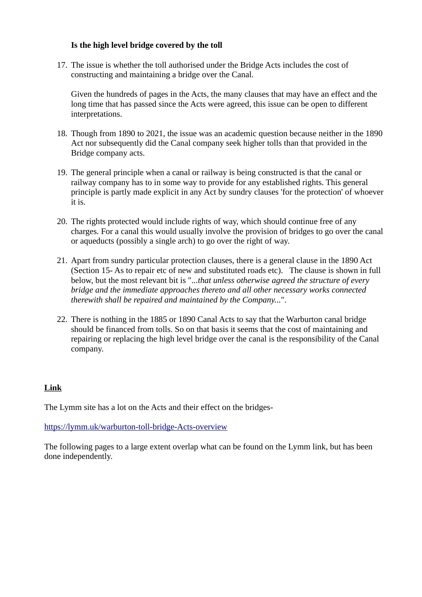# **Is the high level bridge covered by the toll**

17. The issue is whether the toll authorised under the Bridge Acts includes the cost of constructing and maintaining a bridge over the Canal.

Given the hundreds of pages in the Acts, the many clauses that may have an effect and the long time that has passed since the Acts were agreed, this issue can be open to different interpretations.

- 18. Though from 1890 to 2021, the issue was an academic question because neither in the 1890 Act nor subsequently did the Canal company seek higher tolls than that provided in the Bridge company acts.
- 19. The general principle when a canal or railway is being constructed is that the canal or railway company has to in some way to provide for any established rights. This general principle is partly made explicit in any Act by sundry clauses 'for the protection' of whoever it is.
- 20. The rights protected would include rights of way, which should continue free of any charges. For a canal this would usually involve the provision of bridges to go over the canal or aqueducts (possibly a single arch) to go over the right of way.
- 21. Apart from sundry particular protection clauses, there is a general clause in the 1890 Act (Section 15- As to repair etc of new and substituted roads etc). The clause is shown in full below, but the most relevant bit is ".*..that unless otherwise agreed the structure of every bridge and the immediate approaches thereto and all other necessary works connected therewith shall be repaired and maintained by the Company...*".
- 22. There is nothing in the 1885 or 1890 Canal Acts to say that the Warburton canal bridge should be financed from tolls. So on that basis it seems that the cost of maintaining and repairing or replacing the high level bridge over the canal is the responsibility of the Canal company.

# **L ink**

The Lymm site has a lot on the Acts and their effect on the bridges-

<https://lymm.uk/warburton-toll-bridge-Acts-overview>

The following pages to a large extent overlap what can be found on the Lymm link, but has been done independently.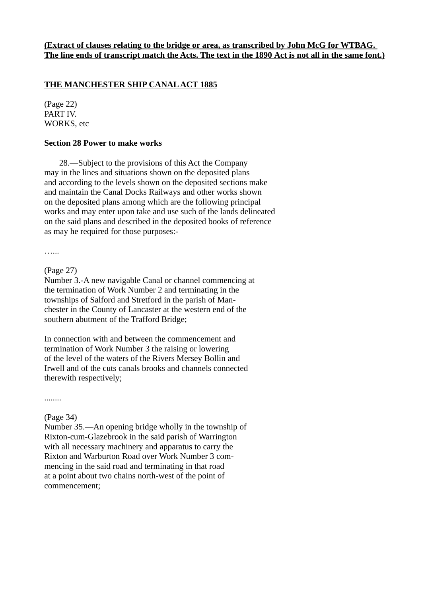# **THE MANCHESTER SHIP CANAL ACT 1885**

(Page 22) PART IV. WORKS, etc

## **Section 28 Power to make works**

 28.—Subject to the provisions of this Act the Company may in the lines and situations shown on the deposited plans and according to the levels shown on the deposited sections make and maintain the Canal Docks Railways and other works shown on the deposited plans among which are the following principal works and may enter upon take and use such of the lands delineated on the said plans and described in the deposited books of reference as may he required for those purposes:-

…...

### (Page 27)

Number 3.-A new navigable Canal or channel commencing at the termination of Work Number 2 and terminating in the townships of Salford and Stretford in the parish of Manchester in the County of Lancaster at the western end of the southern abutment of the Trafford Bridge;

In connection with and between the commencement and termination of Work Number 3 the raising or lowering of the level of the waters of the Rivers Mersey Bollin and Irwell and of the cuts canals brooks and channels connected therewith respectively;

........

# (Page 34)

Number 35.—An opening bridge wholly in the township of Rixton-cum-Glazebrook in the said parish of Warrington with all necessary machinery and apparatus to carry the Rixton and Warburton Road over Work Number 3 commencing in the said road and terminating in that road at a point about two chains north-west of the point of commencement;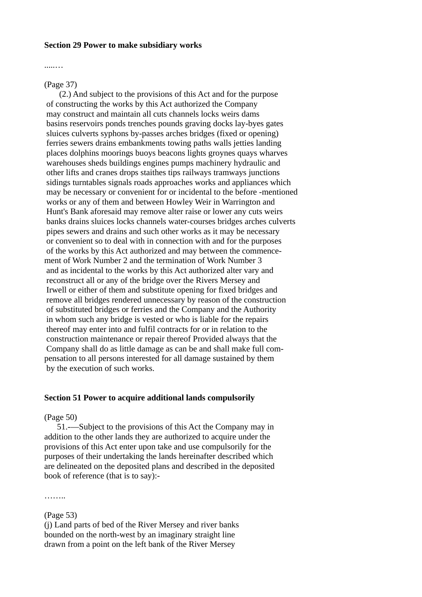#### **Section 29 Power to make subsidiary works**

.....…

#### (Page 37)

 (2.) And subject to the provisions of this Act and for the purpose of constructing the works by this Act authorized the Company may construct and maintain all cuts channels locks weirs dams basins reservoirs ponds trenches pounds graving docks lay-byes gates sluices culverts syphons by-passes arches bridges (fixed or opening) ferries sewers drains embankments towing paths walls jetties landing places dolphins moorings buoys beacons lights groynes quays wharves warehouses sheds buildings engines pumps machinery hydraulic and other lifts and cranes drops staithes tips railways tramways junctions sidings turntables signals roads approaches works and appliances which may be necessary or convenient for or incidental to the before -mentioned works or any of them and between Howley Weir in Warrington and Hunt's Bank aforesaid may remove alter raise or lower any cuts weirs banks drains sluices locks channels water-courses bridges arches culverts pipes sewers and drains and such other works as it may be necessary or convenient so to deal with in connection with and for the purposes of the works by this Act authorized and may between the commencement of Work Number 2 and the termination of Work Number 3 and as incidental to the works by this Act authorized alter vary and reconstruct all or any of the bridge over the Rivers Mersey and Irwell or either of them and substitute opening for fixed bridges and remove all bridges rendered unnecessary by reason of the construction of substituted bridges or ferries and the Company and the Authority in whom such any bridge is vested or who is liable for the repairs thereof may enter into and fulfil contracts for or in relation to the construction maintenance or repair thereof Provided always that the Company shall do as little damage as can be and shall make full compensation to all persons interested for all damage sustained by them by the execution of such works.

#### **Section 51 Power to acquire additional lands compulsorily**

#### (Page 50)

 51.-—Subject to the provisions of this Act the Company may in addition to the other lands they are authorized to acquire under the provisions of this Act enter upon take and use compulsorily for the purposes of their undertaking the lands hereinafter described which are delineated on the deposited plans and described in the deposited book of reference (that is to say):-

………

#### (Page 53)

(j) Land parts of bed of the River Mersey and river banks bounded on the north-west by an imaginary straight line drawn from a point on the left bank of the River Mersey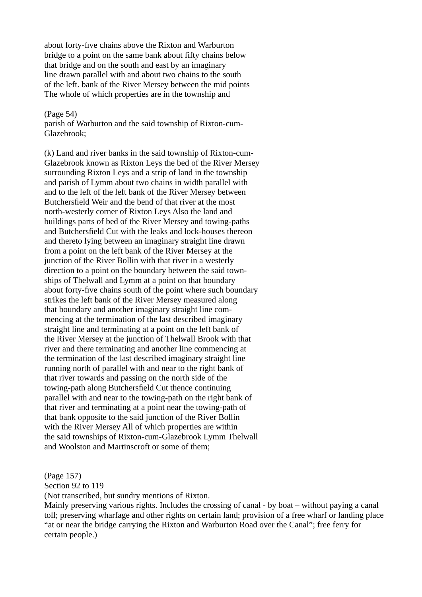about forty-five chains above the Rixton and Warburton bridge to a point on the same bank about fifty chains below that bridge and on the south and east by an imaginary line drawn parallel with and about two chains to the south of the left. bank of the River Mersey between the mid points The whole of which properties are in the township and

#### (Page 54)

parish of Warburton and the said township of Rixton-cum-Glazebrook;

(k) Land and river banks in the said township of Rixton-cum-Glazebrook known as Rixton Leys the bed of the River Mersey surrounding Rixton Leys and a strip of land in the township and parish of Lymm about two chains in width parallel with and to the left of the left bank of the River Mersey between Butchersfield Weir and the bend of that river at the most north-westerly corner of Rixton Leys Also the land and buildings parts of bed of the River Mersey and towing-paths and Butchersfield Cut with the leaks and lock-houses thereon and thereto lying between an imaginary straight line drawn from a point on the left bank of the River Mersey at the junction of the River Bollin with that river in a westerly direction to a point on the boundary between the said townships of Thelwall and Lymm at a point on that boundary about forty-five chains south of the point where such boundary strikes the left bank of the River Mersey measured along that boundary and another imaginary straight line commencing at the termination of the last described imaginary straight line and terminating at a point on the left bank of the River Mersey at the junction of Thelwall Brook with that river and there terminating and another line commencing at the termination of the last described imaginary straight line running north of parallel with and near to the right bank of that river towards and passing on the north side of the towing-path along Butchersfield Cut thence continuing parallel with and near to the towing-path on the right bank of that river and terminating at a point near the towing-path of that bank opposite to the said junction of the River Bollin with the River Mersey All of which properties are within the said townships of Rixton-cum-Glazebrook Lymm Thelwall and Woolston and Martinscroft or some of them;

(Page 157)

Section 92 to 119

(Not transcribed, but sundry mentions of Rixton.

Mainly preserving various rights. Includes the crossing of canal - by boat – without paying a canal toll; preserving wharfage and other rights on certain land; provision of a free wharf or landing place "at or near the bridge carrying the Rixton and Warburton Road over the Canal"; free ferry for certain people.)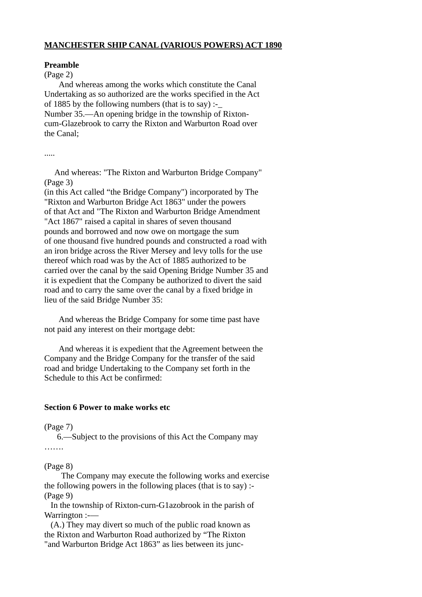## **MANCHESTER SHIP CANAL (VARIOUS POWERS) ACT 1890**

## **Preamble**

## (Page 2)

 And whereas among the works which constitute the Canal Undertaking as so authorized are the works specified in the Act of 1885 by the following numbers (that is to say) :-Number 35.—An opening bridge in the township of Rixtoncum-Glazebrook to carry the Rixton and Warburton Road over the Canal;

.....

 And whereas: "The Rixton and Warburton Bridge Company" (Page 3)

(in this Act called "the Bridge Company") incorporated by The "Rixton and Warburton Bridge Act 1863" under the powers of that Act and "The Rixton and Warburton Bridge Amendment "Act 1867" raised a capital in shares of seven thousand pounds and borrowed and now owe on mortgage the sum of one thousand five hundred pounds and constructed a road with an iron bridge across the River Mersey and levy tolls for the use thereof which road was by the Act of 1885 authorized to be carried over the canal by the said Opening Bridge Number 35 and it is expedient that the Company be authorized to divert the said road and to carry the same over the canal by a fixed bridge in lieu of the said Bridge Number 35:

 And whereas the Bridge Company for some time past have not paid any interest on their mortgage debt:

 And whereas it is expedient that the Agreement between the Company and the Bridge Company for the transfer of the said road and bridge Undertaking to the Company set forth in the Schedule to this Act be confirmed:

### **Section 6 Power to make works etc**

### (Page 7)

 6.—Subject to the provisions of this Act the Company may ……

# (Page 8)

 The Company may execute the following works and exercise the following powers in the following places (that is to say) :- (Page 9)

 In the township of Rixton-curn-G1azobrook in the parish of Warrington :--

 (A.) They may divert so much of the public road known as the Rixton and Warburton Road authorized by "The Rixton "and Warburton Bridge Act 1863" as lies between its junc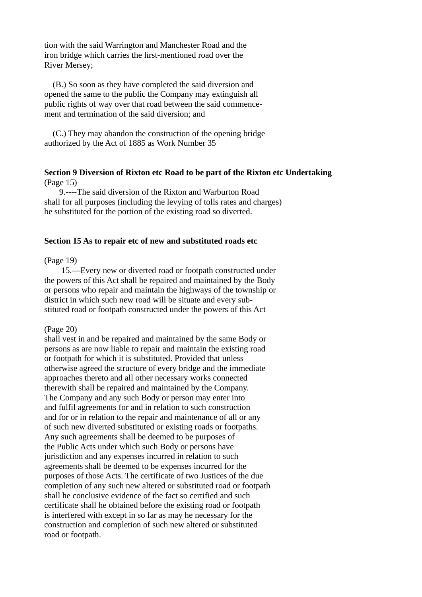tion with the said Warrington and Manchester Road and the iron bridge which carries the first-mentioned road over the River Mersey;

 (B.) So soon as they have completed the said diversion and opened the same to the public the Company may extinguish all public rights of way over that road between the said commencement and termination of the said diversion; and

 (C.) They may abandon the construction of the opening bridge authorized by the Act of 1885 as Work Number 35

## **Section 9 Diversion of Rixton etc Road to be part of the Rixton etc Undertaking** (Page 15)

 9.----The said diversion of the Rixton and Warburton Road shall for all purposes (including the levying of tolls rates and charges) be substituted for the portion of the existing road so diverted.

#### **Section 15 As to repair etc of new and substituted roads etc**

#### (Page 19)

 15.—Every new or diverted road or footpath constructed under the powers of this Act shall be repaired and maintained by the Body or persons who repair and maintain the highways of the township or district in which such new road will be situate and every substituted road or footpath constructed under the powers of this Act

#### (Page 20)

shall vest in and be repaired and maintained by the same Body or persons as are now liable to repair and maintain the existing road or footpath for which it is substituted. Provided that unless otherwise agreed the structure of every bridge and the immediate approaches thereto and all other necessary works connected therewith shall be repaired and maintained by the Company. The Company and any such Body or person may enter into and fulfil agreements for and in relation to such construction and for or in relation to the repair and maintenance of all or any of such new diverted substituted or existing roads or footpaths. Any such agreements shall be deemed to be purposes of the Public Acts under which such Body or persons have jurisdiction and any expenses incurred in relation to such agreements shall be deemed to be expenses incurred for the purposes of those Acts. The certificate of two Justices of the due completion of any such new altered or substituted road or footpath shall he conclusive evidence of the fact so certified and such certificate shall he obtained before the existing road or footpath is interfered with except in so far as may he necessary for the construction and completion of such new altered or substituted road or footpath.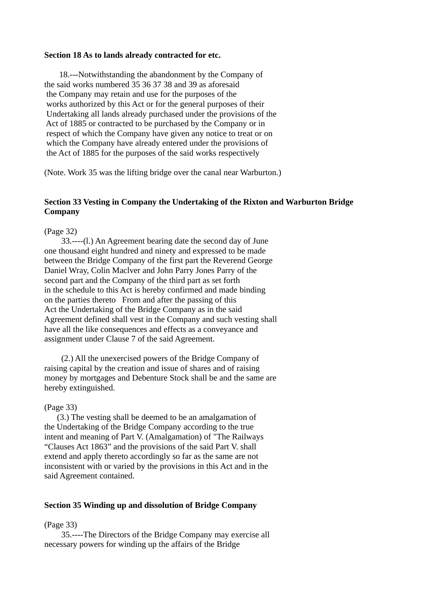#### **Section 18 As to lands already contracted for etc.**

 18.---Notwithstanding the abandonment by the Company of the said works numbered 35 36 37 38 and 39 as aforesaid the Company may retain and use for the purposes of the works authorized by this Act or for the general purposes of their Undertaking all lands already purchased under the provisions of the Act of 1885 or contracted to be purchased by the Company or in respect of which the Company have given any notice to treat or on which the Company have already entered under the provisions of the Act of 1885 for the purposes of the said works respectively

(Note. Work 35 was the lifting bridge over the canal near Warburton.)

## **Section 33 Vesting in Company the Undertaking of the Rixton and Warburton Bridge Company**

#### (Page 32)

 33.----(l.) An Agreement bearing date the second day of June one thousand eight hundred and ninety and expressed to be made between the Bridge Company of the first part the Reverend George Daniel Wray, Colin Maclver and John Parry Jones Parry of the second part and the Company of the third part as set forth in the schedule to this Act is hereby confirmed and made binding on the parties thereto From and after the passing of this Act the Undertaking of the Bridge Company as in the said Agreement defined shall vest in the Company and such vesting shall have all the like consequences and effects as a conveyance and assignment under Clause 7 of the said Agreement.

 (2.) All the unexercised powers of the Bridge Company of raising capital by the creation and issue of shares and of raising money by mortgages and Debenture Stock shall be and the same are hereby extinguished.

### (Page 33)

 (3.) The vesting shall be deemed to be an amalgamation of the Undertaking of the Bridge Company according to the true intent and meaning of Part V. (Amalgamation) of "The Railways "Clauses Act 1863" and the provisions of the said Part V. shall extend and apply thereto accordingly so far as the same are not inconsistent with or varied by the provisions in this Act and in the said Agreement contained.

### **Section 35 Winding up and dissolution of Bridge Company**

### (Page 33)

 35.----The Directors of the Bridge Company may exercise all necessary powers for winding up the affairs of the Bridge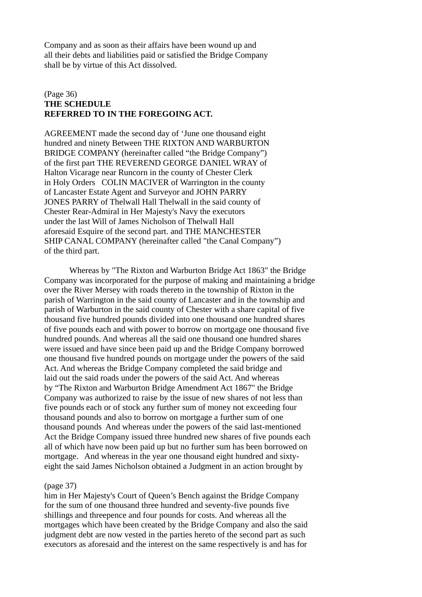Company and as soon as their affairs have been wound up and all their debts and liabilities paid or satisfied the Bridge Company shall be by virtue of this Act dissolved.

## (Page 36) **THE SCHEDULE REFERRED TO IN THE FOREGOING ACT.**

AGREEMENT made the second day of 'June one thousand eight hundred and ninety Between THE RIXTON AND WARBURTON BRIDGE COMPANY (hereinafter called "the Bridge Company") of the first part THE REVEREND GEORGE DANIEL WRAY of Halton Vicarage near Runcorn in the county of Chester Clerk in Holy Orders COLIN MACIVER of Warrington in the county of Lancaster Estate Agent and Surveyor and JOHN PARRY JONES PARRY of Thelwall Hall Thelwall in the said county of Chester Rear-Admiral in Her Majesty's Navy the executors under the last Will of James Nicholson of Thelwall Hall aforesaid Esquire of the second part. and THE MANCHESTER SHIP CANAL COMPANY (hereinafter called "the Canal Company") of the third part.

Whereas by "The Rixton and Warburton Bridge Act 1863" the Bridge Company was incorporated for the purpose of making and maintaining a bridge over the River Mersey with roads thereto in the township of Rixton in the parish of Warrington in the said county of Lancaster and in the township and parish of Warburton in the said county of Chester with a share capital of five thousand five hundred pounds divided into one thousand one hundred shares of five pounds each and with power to borrow on mortgage one thousand five hundred pounds. And whereas all the said one thousand one hundred shares were issued and have since been paid up and the Bridge Company borrowed one thousand five hundred pounds on mortgage under the powers of the said Act. And whereas the Bridge Company completed the said bridge and laid out the said roads under the powers of the said Act. And whereas by "The Rixton and Warburton Bridge Amendment Act 1867" the Bridge Company was authorized to raise by the issue of new shares of not less than five pounds each or of stock any further sum of money not exceeding four thousand pounds and also to borrow on mortgage a further sum of one thousand pounds And whereas under the powers of the said last-mentioned Act the Bridge Company issued three hundred new shares of five pounds each all of which have now been paid up but no further sum has been borrowed on mortgage. And whereas in the year one thousand eight hundred and sixtyeight the said James Nicholson obtained a Judgment in an action brought by

### (page 37)

him in Her Majesty's Court of Queen's Bench against the Bridge Company for the sum of one thousand three hundred and seventy-five pounds five shillings and threepence and four pounds for costs. And whereas all the mortgages which have been created by the Bridge Company and also the said judgment debt are now vested in the parties hereto of the second part as such executors as aforesaid and the interest on the same respectively is and has for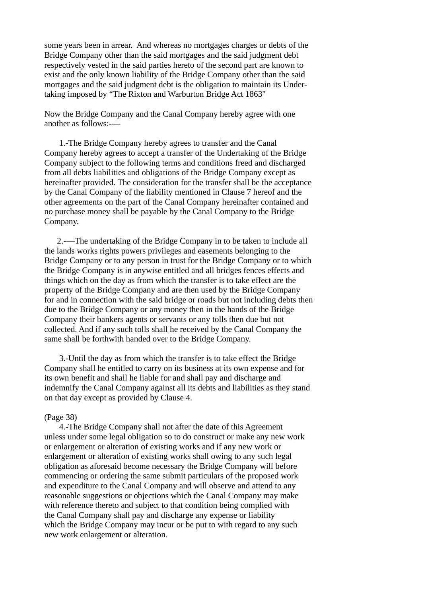some years been in arrear. And whereas no mortgages charges or debts of the Bridge Company other than the said mortgages and the said judgment debt respectively vested in the said parties hereto of the second part are known to exist and the only known liability of the Bridge Company other than the said mortgages and the said judgment debt is the obligation to maintain its Undertaking imposed by "The Rixton and Warburton Bridge Act 1863"

Now the Bridge Company and the Canal Company hereby agree with one another as follows:-—

 1.-The Bridge Company hereby agrees to transfer and the Canal Company hereby agrees to accept a transfer of the Undertaking of the Bridge Company subject to the following terms and conditions freed and discharged from all debts liabilities and obligations of the Bridge Company except as hereinafter provided. The consideration for the transfer shall be the acceptance by the Canal Company of the liability mentioned in Clause 7 hereof and the other agreements on the part of the Canal Company hereinafter contained and no purchase money shall be payable by the Canal Company to the Bridge Company.

 2.-—The undertaking of the Bridge Company in to be taken to include all the lands works rights powers privileges and easements belonging to the Bridge Company or to any person in trust for the Bridge Company or to which the Bridge Company is in anywise entitled and all bridges fences effects and things which on the day as from which the transfer is to take effect are the property of the Bridge Company and are then used by the Bridge Company for and in connection with the said bridge or roads but not including debts then due to the Bridge Company or any money then in the hands of the Bridge Company their bankers agents or servants or any tolls then due but not collected. And if any such tolls shall he received by the Canal Company the same shall be forthwith handed over to the Bridge Company.

 3.-Until the day as from which the transfer is to take effect the Bridge Company shall he entitled to carry on its business at its own expense and for its own benefit and shall he liable for and shall pay and discharge and indemnify the Canal Company against all its debts and liabilities as they stand on that day except as provided by Clause 4.

#### (Page 38)

 4.-The Bridge Company shall not after the date of this Agreement unless under some legal obligation so to do construct or make any new work or enlargement or alteration of existing works and if any new work or enlargement or alteration of existing works shall owing to any such legal obligation as aforesaid become necessary the Bridge Company will before commencing or ordering the same submit particulars of the proposed work and expenditure to the Canal Company and will observe and attend to any reasonable suggestions or objections which the Canal Company may make with reference thereto and subject to that condition being complied with the Canal Company shall pay and discharge any expense or liability which the Bridge Company may incur or be put to with regard to any such new work enlargement or alteration.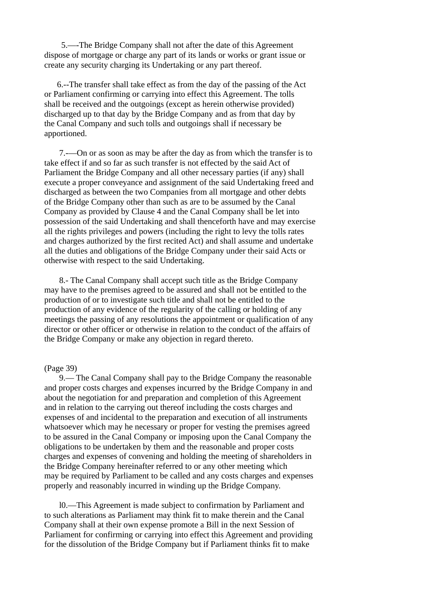5.—-The Bridge Company shall not after the date of this Agreement dispose of mortgage or charge any part of its lands or works or grant issue or create any security charging its Undertaking or any part thereof.

 6.--The transfer shall take effect as from the day of the passing of the Act or Parliament confirming or carrying into effect this Agreement. The tolls shall be received and the outgoings (except as herein otherwise provided) discharged up to that day by the Bridge Company and as from that day by the Canal Company and such tolls and outgoings shall if necessary be apportioned.

 7.-—On or as soon as may be after the day as from which the transfer is to take effect if and so far as such transfer is not effected by the said Act of Parliament the Bridge Company and all other necessary parties (if any) shall execute a proper conveyance and assignment of the said Undertaking freed and discharged as between the two Companies from all mortgage and other debts of the Bridge Company other than such as are to be assumed by the Canal Company as provided by Clause 4 and the Canal Company shall be let into possession of the said Undertaking and shall thenceforth have and may exercise all the rights privileges and powers (including the right to levy the tolls rates and charges authorized by the first recited Act) and shall assume and undertake all the duties and obligations of the Bridge Company under their said Acts or otherwise with respect to the said Undertaking.

 8.- The Canal Company shall accept such title as the Bridge Company may have to the premises agreed to be assured and shall not be entitled to the production of or to investigate such title and shall not be entitled to the production of any evidence of the regularity of the calling or holding of any meetings the passing of any resolutions the appointment or qualification of any director or other officer or otherwise in relation to the conduct of the affairs of the Bridge Company or make any objection in regard thereto.

#### (Page 39)

 9.— The Canal Company shall pay to the Bridge Company the reasonable and proper costs charges and expenses incurred by the Bridge Company in and about the negotiation for and preparation and completion of this Agreement and in relation to the carrying out thereof including the costs charges and expenses of and incidental to the preparation and execution of all instruments whatsoever which may he necessary or proper for vesting the premises agreed to be assured in the Canal Company or imposing upon the Canal Company the obligations to be undertaken by them and the reasonable and proper costs charges and expenses of convening and holding the meeting of shareholders in the Bridge Company hereinafter referred to or any other meeting which may be required by Parliament to be called and any costs charges and expenses properly and reasonably incurred in winding up the Bridge Company.

 l0.—This Agreement is made subject to confirmation by Parliament and to such alterations as Parliament may think fit to make therein and the Canal Company shall at their own expense promote a Bill in the next Session of Parliament for confirming or carrying into effect this Agreement and providing for the dissolution of the Bridge Company but if Parliament thinks fit to make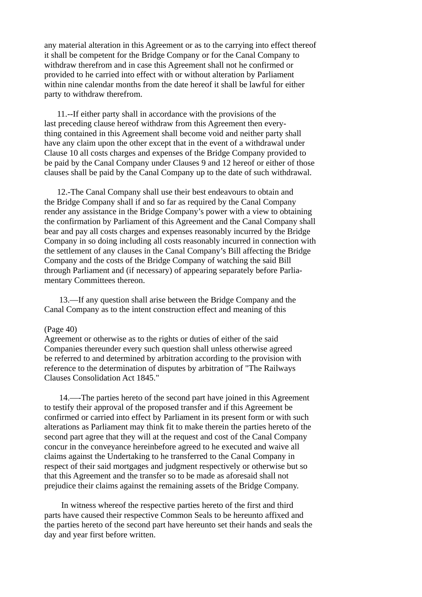any material alteration in this Agreement or as to the carrying into effect thereof it shall be competent for the Bridge Company or for the Canal Company to withdraw therefrom and in case this Agreement shall not he confirmed or provided to he carried into effect with or without alteration by Parliament within nine calendar months from the date hereof it shall be lawful for either party to withdraw therefrom.

 11.--If either party shall in accordance with the provisions of the last preceding clause hereof withdraw from this Agreement then everything contained in this Agreement shall become void and neither party shall have any claim upon the other except that in the event of a withdrawal under Clause 10 all costs charges and expenses of the Bridge Company provided to be paid by the Canal Company under Clauses 9 and 12 hereof or either of those clauses shall be paid by the Canal Company up to the date of such withdrawal.

 12.-The Canal Company shall use their best endeavours to obtain and the Bridge Company shall if and so far as required by the Canal Company render any assistance in the Bridge Company's power with a view to obtaining the confirmation by Parliament of this Agreement and the Canal Company shall bear and pay all costs charges and expenses reasonably incurred by the Bridge Company in so doing including all costs reasonably incurred in connection with the settlement of any clauses in the Canal Company's Bill affecting the Bridge Company and the costs of the Bridge Company of watching the said Bill through Parliament and (if necessary) of appearing separately before Parliamentary Committees thereon.

 13.—If any question shall arise between the Bridge Company and the Canal Company as to the intent construction effect and meaning of this

#### (Page 40)

Agreement or otherwise as to the rights or duties of either of the said Companies thereunder every such question shall unless otherwise agreed be referred to and determined by arbitration according to the provision with reference to the determination of disputes by arbitration of "The Railways Clauses Consolidation Act 1845."

 14.—-The parties hereto of the second part have joined in this Agreement to testify their approval of the proposed transfer and if this Agreement be confirmed or carried into effect by Parliament in its present form or with such alterations as Parliament may think fit to make therein the parties hereto of the second part agree that they will at the request and cost of the Canal Company concur in the conveyance hereinbefore agreed to he executed and waive all claims against the Undertaking to he transferred to the Canal Company in respect of their said mortgages and judgment respectively or otherwise but so that this Agreement and the transfer so to be made as aforesaid shall not prejudice their claims against the remaining assets of the Bridge Company.

 In witness whereof the respective parties hereto of the first and third parts have caused their respective Common Seals to be hereunto affixed and the parties hereto of the second part have hereunto set their hands and seals the day and year first before written.